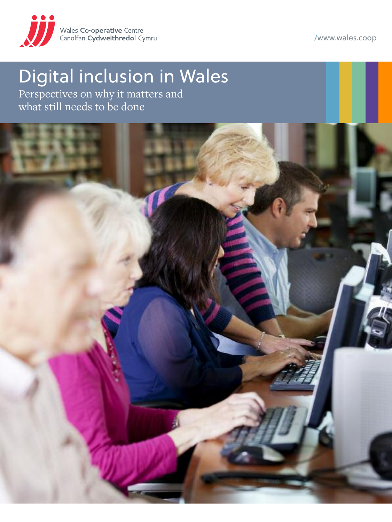



# Digital inclusion in Wales

Perspectives on why it matters and what still needs to be done

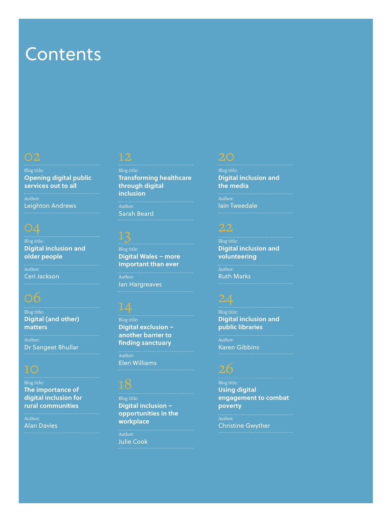### Contents



**Opening digital public services out to all**

Leighton Andrews

### 04

**Digital inclusion and older people**

Ceri Jackson

**Digital (and other) matters**

Author: Dr Sangeet Bhullar

**The importance of digital inclusion for rural communities** 

Alan Davies

Blog title: **Transforming healthcare through digital inclusion** 

Sarah Beard

Blog title: **Digital Wales – more important than ever** 

Ian Hargreaves

### $1\varDelta$

Blog title: **Digital exclusion – another barrier to finding sanctuary**

Eleri Williams

Blog title: **Digital inclusion – opportunities in the workplace**

Julie Cook

Blog title: **Digital inclusion and the media** 

Iain Tweedale

Blog title: **Digital inclusion and volunteering**  Ruth Marks

Blog title: **Digital inclusion and public libraries**

Author: Karen Gibbins

Blog title: **Using digital engagement to combat poverty**

Author: Christine Gwyther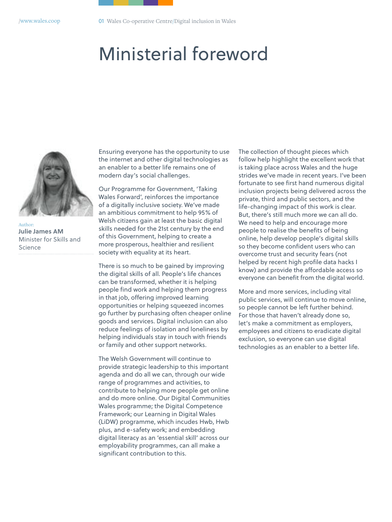# Ministerial foreword



Author: **Julie James AM** Minister for Skills and Science

Ensuring everyone has the opportunity to use The collection of thought pieces which the internet and other digital technologies as follow help highlight the excellent work that an enabler to a better life remains one of is taking place across Wales and the huge modern day's social challenges. strides we've made in recent years. I've been

people find work and helping them progress<br>in that job, offering improved learning<br>opportunities or helping squeezed incomes<br>go further by purchasing often cheaper online<br>goods and services. Digital inclusion can also<br>redu

The Welsh Government will continue to provide strategic leadership to this important agenda and do all we can, through our wide range of programmes and activities, to contribute to helping more people get online and do more online. Our Digital Communities Wales programme; the Digital Competence Framework; our Learning in Digital Wales (LiDW) programme, which incudes Hwb, Hwb plus, and e-safety work; and embedding digital literacy as an 'essential skill' across our employability programmes, can all make a significant contribution to this.

Our Programme for Government, 'Taking<br>
Wales Forward', reinforces the importance<br>
of a digitally inclusive society. We've made<br>
an ambitious commitment to help 95% of But, there's still much more we can all do. Welsh citizens gain at least the basic digital<br>
skills needed for the 21st century by the end<br>
of this Government, helping to create a<br>
more prosperous, healthier and resilient<br>
so they become confident users who can<br>
soci There is so much to be gained by improving<br>the digital skills of all. People's life chances<br>can be transformed, whether it is helping<br>the veryone can benefit from the digital world.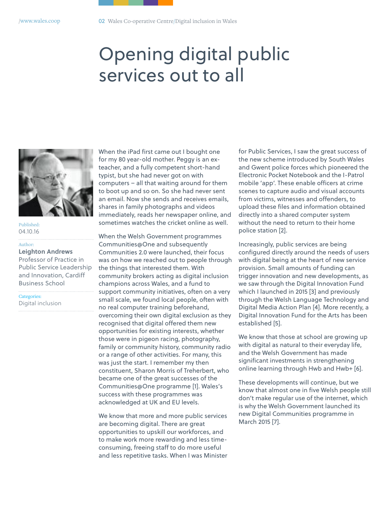# Opening digital public services out to all



Published: 04.10.16

### Author:

**Leighton Andrews** Professor of Practice in Public Service Leadership and Innovation, Cardiff Business School

Categories: Digital inclusion

When the iPad first came out I bought one for Public Services, I saw the great success of for my 80 year-old mother. Peggy is an ex- the new scheme introduced by South Wales teacher, and a fully competent short-hand and Gwent police forces which pioneered the typist, but she had never got on with Electronic Pocket Notebook and the I-Patrol computers – all that waiting around for them mobile 'app'. These enable officers at crime to boot up and so on. So she had never sent scenes to capture audio and visual accounts an email. Now she sends and receives emails, from victims, witnesses and offenders, to shares in family photographs and videos upload these files and information obtained immediately, reads her newspaper online, and directly into a shared computer system sometimes watches the cricket online as well. without the need to return to their home

police station [2]. When the Welsh Government programmes Communities@One and subsequently Increasingly, public services are being Communities 2.0 were launched, their focus configured directly around the needs of users was on how we reached out to people through with digital being at the heart of new service the things that interested them. With provision. Small amounts of funding can community brokers acting as digital inclusion trigger innovation and new developments, as champions across Wales, and a fund to we saw through the Digital Innovation Fund support community initiatives, often on a very which I launched in 2015 [3] and previously small scale, we found local people, often with through the Welsh Language Technology and no real computer training beforehand, Digital Media Action Plan [4]. More recently, a overcoming their own digital exclusion as they Digital Innovation Fund for the Arts has been recognised that digital offered them new established [5]. opportunities for existing interests, whether those were in pigeon racing, photography,<br>
We know that those at school are growing up<br>
family or community bistory community radio with digital as natural to their everyday life, family or community history, community radio with digital as natural to their everyday<br>or a range of other activities, For many this and the Welsh Government has made or a range of other activities. For many, this and the Welsh Government has made<br>was just the start I remember my then significant investments in strengthening was just the start. I remember my then significant investments in strengthening<br>constituent, Sharon Morris of Treberbert, who sonline learning through Hwb and Hwb+ [6]. constituent, Sharon Morris of Treherbert, who

are becoming digital. There are great opportunities to upskill our workforces, and to make work more rewarding and less timeconsuming, freeing staff to do more useful and less repetitive tasks. When I was Minister

became one of the great successes of the These developments will continue, but we<br>Communities@One programme [1]. Wales's know that almost one in five Welsh people still<br>success with these programmes was don't make regular We know that more and more public services new Digital Communities programme in<br>are becoming digital There are great March 2015 [7].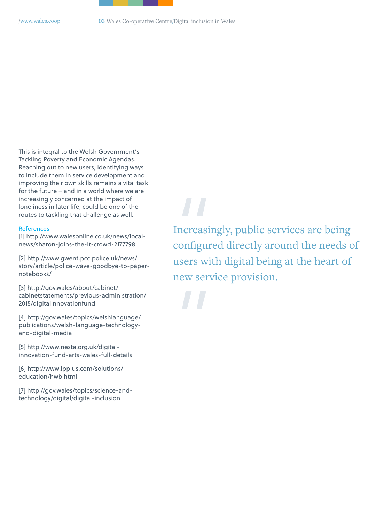This is integral to the Welsh Government's Tackling Poverty and Economic Agendas. Reaching out to new users, identifying ways to include them in service development and improving their own skills remains a vital task for the future – and in a world where we are increasingly concerned at the impact of loneliness in later life, could be one of the routes to tackling that challenge as well.

### References:

[1] http://www.walesonline.co.uk/news/localnews/sharon-joins-the-it-crowd-2177798

[2] http://www.gwent.pcc.police.uk/news/ story/article/police-wave-goodbye-to-papernotebooks/

[3] http://gov.wales/about/cabinet/ cabinetstatements/previous-administration/ 2015/digitalinnovationfund

[4] http://gov.wales/topics/welshlanguage/ publications/welsh-language-technologyand-digital-media

[5] http://www.nesta.org.uk/digitalinnovation-fund-arts-wales-full-details

[6] http://www.lpplus.com/solutions/ education/hwb.html

[7] http://gov.wales/topics/science-andtechnology/digital/digital-inclusion

**"** 

Increasingly, public services are being configured directly around the needs of users with digital being at the heart of new service provision. <br/>Increasin<br/> $\begin{array}{lcl} \hline \text{Increasing} \\ \text{configur} \\ \text{users wit} \end{array}$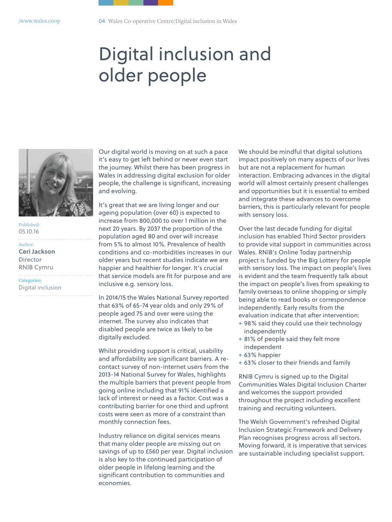# Digital inclusion and older people



Published: 05.10.16

Author: **Ceri Jackson** Director RNIB Cymru

Categories: Digital inclusion

Our digital world is moving on at such a pace We should be mindful that digital solutions the journey. Whilst there has been progress in but are not a replacement for human

next 20 years. By 2037 the proportion of the Over the last decade funding for digital population aged 80 and over will increase inclusion has enabled Third Sector providers<br>from 5% to almost 10%. Prevalence of health to provide vital support in communities acros conditions and co-morbidities increases in our Wales. RNIB's Online Today partnership that service models are fit for purpose and are is evident and the team frequently talk about inclusive e.g. sensory loss. the impact on people's lives from speaking to

internet. The survey also indicates that **+** 98% said they could use their technology<br>disabled people are twice as likely to be independently<br>**+ 81% of people said they felt more**<br>**+ 81% of people said they felt more** 

Whilst providing support is critical, usability<br>
and affordability are significant barriers. A re-<br>
contact survey of non-internet users from the<br>  $+63\%$  closer to their friends and family<br>
contact survey of non-internet 2013-14 National Survey for Wales, highlights<br>the multiple barriers that prevent people from<br>going online including that 91% identified a<br>lack of interest or need as a factor. Cost was a<br>contributing barrier for one third monthly connection fees. The Welsh Government's refreshed Digital

Inclusion Strategic Framework and Delivery<br>Industry reliance on digital services means<br>that many older people are missing out on<br>savings of up to £560 per year. Digital inclusion<br>is also key to the continued participation older people in lifelong learning and the significant contribution to communities and economies.

it's easy to get left behind or never even start impact positively on many aspects of our lives Wales in addressing digital exclusion for older interaction. Embracing advances in the digital people, the challenge is significant, increasing world will almost certainly present challenges and evolving. and opportunities but it is essential to embed It's great that we are living longer and our and integrate these advances to overcome<br>ageing population (over 60) is expected to<br>increase from 800,000 to over 1 million in the

to provide vital support in communities across older years but recent studies indicate we are project is funded by the Big Lottery for people happier and healthier for longer. It's crucial with sensory loss. The impact on people's lives In 2014/15 the Wales National Survey reported<br>that 63% of 65-74 year olds and only 29% of<br>people aged 75 and over were using the<br>internet. The survey also indicates that<br> $\begin{array}{r} \text{family} \\ \text{begin} \\ \text{begin} \\ \text{begin} \\ \text{begin} \\ \text{begin} \\ \text{begin} \\ \text$ 

- 
- 
- 
-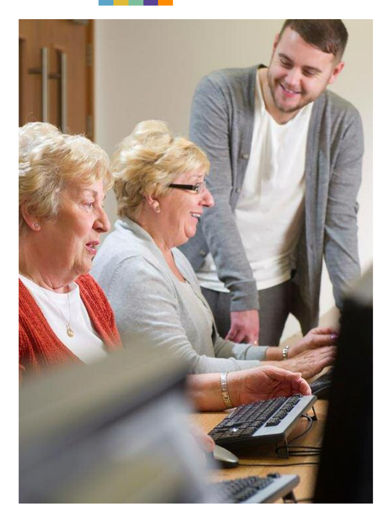

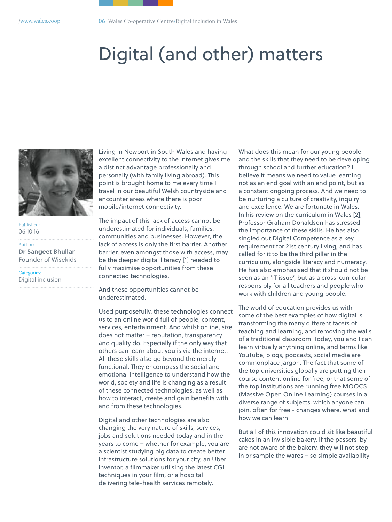# Digital (and other) matters



Published: 06.10.16

### Author: **Dr Sangeet Bhullar** Founder of Wisekids

Categories: Digital inclusion

Living in Newport in South Wales and having What does this mean for our young people excellent connectivity to the internet gives me a distinct advantage professionally and personally (with family living abroad). This point is brought home to me every time I travel in our beautiful Welsh countryside and encounter areas where there is poor mobile/internet connectivity.

The impact of this lack of access cannot be underestimated for individuals, families, communities and businesses. However, the lack of access is only the first barrier. Another barrier, even amongst those with access, may be the deeper digital literacy [1] needed to fully maximise opportunities from these connected technologies.

And these opportunities cannot be underestimated.

Used purposefully, these technologies connect us to an online world full of people, content, services, entertainment. And whilst online, size does not matter - reputation, transparency and quality do. Especially if the only way that others can learn about you is via the internet. All these skills also go beyond the merely functional. They encompass the social and emotional intelligence to understand how the world, society and life is changing as a result of these connected technologies, as well as how to interact, create and gain benefits with and from these technologies.

Digital and other technologies are also how we can learn. changing the very nature of skills, services,<br>
obs and solutions needed today and in the<br>
years to come – whether for example, you are<br>
a scientist studying big data to create better<br>
in or sample the wares – so simple ava inventor, a filmmaker utilising the latest CGI techniques in your film, or a hospital delivering tele-health services remotely. changing the very nature of skills, services, jobs and solutions needed today and in the years to come - whether for example, you are a scientist studying big data to create better infrastructure solutions for your city, an Uber

and the skills that they need to be developing through school and further education? I believe it means we need to value learning. not as an end goal with an end point, but as a constant ongoing process. And we need to be nurturing a culture of creativity, inquiry and excellence. We are fortunate in Wales. In his review on the curriculum in Wales [2], Professor Graham Donaldson has stressed underestimated for individuals, families,<br>
the importance of these skills. He has also<br>
ack of access is only the first barrier. Another<br>
barrier, even amongst those with access, may<br>
be the deeper digital literacy [1] nee responsibly for all teachers and people who work with children and young people.

Used purposefully, these technologies connect<br>
sto an online world full of people, content,<br>
sto an online world full of people, content,<br>
sto an online world full of people, content,<br>
sto are of the best examples of how d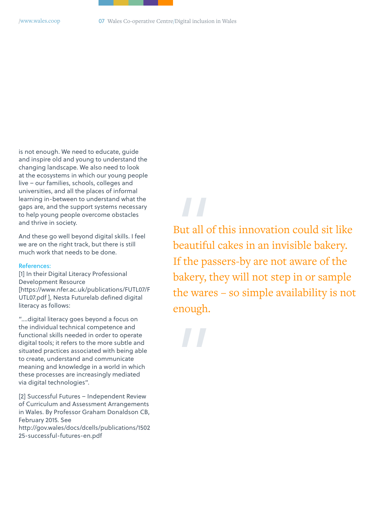is not enough. We need to educate, guide and inspire old and young to understand the changing landscape. We also need to look at the ecosystems in which our young people live – our families, schools, colleges and universities, and all the places of informal learning in-between to understand what the gaps are, and the support systems necessary to help young people overcome obstacles and thrive in society.

And these go well beyond digital skills. I feel we are on the right track, but there is still much work that needs to be done.

### References:

[1] In their Digital Literacy Professional Development Resource [https://www.nfer.ac.uk/publications/FUTL07/F UTL07.pdf ], Nesta Futurelab defined digital literacy as follows:

"….digital literacy goes beyond a focus on the individual technical competence and functional skills needed in order to operate digital tools; it refers to the more subtle and situated practices associated with being able to create, understand and communicate meaning and knowledge in a world in which these processes are increasingly mediated via digital technologies".

[2] Successful Futures – Independent Review of Curriculum and Assessment Arrangements in Wales. By Professor Graham Donaldson CB, February 2015. See http://gov.wales/docs/dcells/publications/1502 25-successful-futures-en.pdf

But all of this innovation could sit like beautiful cakes in an invisible bakery. If the passers-by are not aware of the bakery, they will not step in or sample the wares – so simple availability is not enough. A<br>But all of<br>peautiful<br>If the part

**"**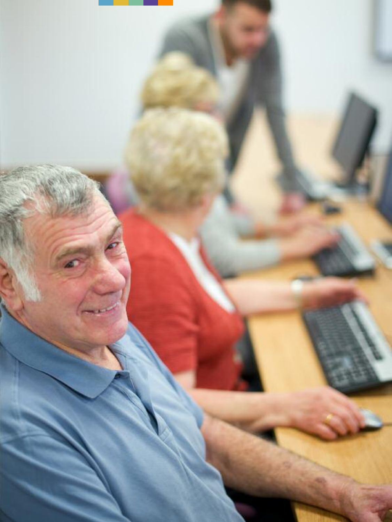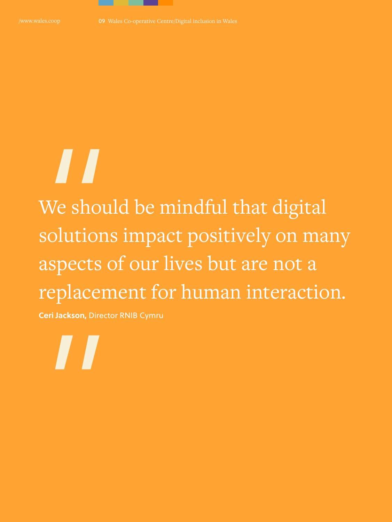We should be mindful that digital solutions impact positively on many aspects of our lives but are not a replacement for human interaction. "

**Ceri Jackson,** Director RNIB Cymru

"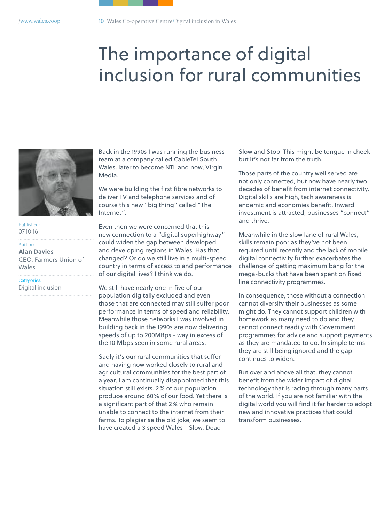# The importance of digital inclusion for rural communities



Published: 07.10.16

Author: **Alan Davies** CEO, Farmers Union of Wales

Categories: Digital inclusion team at a company called CableTel South Wales, later to become NTL and now, Virgin Media. Media. Those parts of the country well served are

deliver TV and telephone services and of Digital skills are high, tech awareness is<br>course this new "big thing" called "The endemic and economies benefit. Inward course this new "big thing" called "The

Even then we were concerned that this new connection to a "digital superhighway" Meanwhile in the slow lane of rural Wales, could widen the gap between developed skills remain poor as they've not been and developing regions in Wales. Has that required until recently and the lack of mobile changed? Or do we still live in a multi-speed digital connectivity further exacerbates the country in terms of access to and performance challenge of getting maximum bang for the of our digital lives? I think we do. mega-bucks that have been spent on fixed

line connectivity programmes. We still have nearly one in five of our population digitally excluded and even In consequence, those without a connection those that are connected may still suffer poor cannot diversify their businesses as some performance in terms of speed and reliability. might do. They cannot support children with Meanwhile those networks I was involved in homework as many need to do and they building back in the 1990s are now delivering cannot connect readily with Government

Sadly it's our rural communities that suffer  $\overline{\phantom{a}}$  continues to widen. and having now worked closely to rural and agricultural communities for the best part of But over and above all that, they cannot a year, I am continually disappointed that this benefit from the wider impact of digital situation still exists. 2% of our population technology that is racing through many parts<br>produce around 60% of our food. Yet there is of the world. If you are not familiar with the unable to connect to the internet from their new and innovative practices that could farms. To plagiarise the old joke, we seem to transform businesses. have created a 3 speed Wales - Slow, Dead

Back in the 1990s I was running the business Slow and Stop. This might be tongue in cheek<br>team at a company called CableTel South but it's not far from the truth.

not only connected, but now have nearly two We were building the first fibre networks to decades of benefit from internet connectivity. Internet". investment is attracted, businesses "connect" and thrive.

speeds of up to 200MBps - way in excess of programmes for advice and support payments the 10 Mbps seen in some rural areas. as they are mandated to do. In simple terms<br>they are still being ignored and the gap

of the world. If you are not familiar with the a significant part of that 2% who remain digital world you will find it far harder to adopt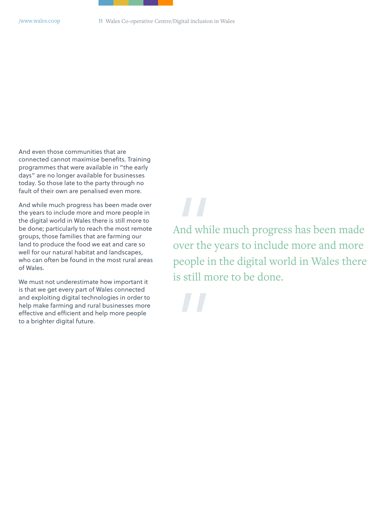And even those communities that are connected cannot maximise benefits. Training programmes that were available in "the early days" are no longer available for businesses today. So those late to the party through no fault of their own are penalised even more.

And while much progress has been made over the years to include more and more people in the digital world in Wales there is still more to be done; particularly to reach the most remote groups, those families that are farming our land to produce the food we eat and care so well for our natural habitat and landscapes, who can often be found in the most rural areas of Wales.

We must not underestimate how important it is that we get every part of Wales connected and exploiting digital technologies in order to help make farming and rural businesses more effective and efficient and help more people to a brighter digital future.

And while much progress has been made over the years to include more and more people in the digital world in Wales there is still more to be done. And while<br>
over the<br>
people in

**"**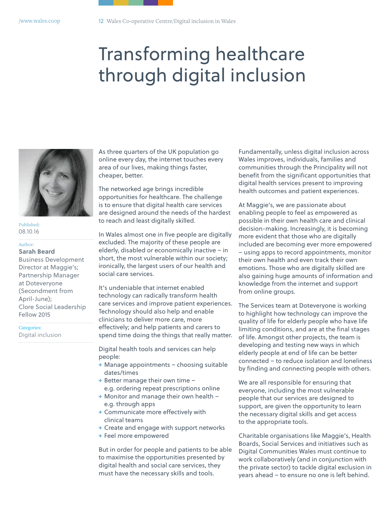# Transforming healthcare through digital inclusion



Published: 08.10.16

### Author: **Sarah Beard**

Business Development Director at Maggie's; Partnership Manager at Doteveryone (Secondment from April-June); Clore Social Leadership Fellow 2015

Categories: Digital inclusion online every day, the internet touches every Wales improves, individuals, families and

is to ensure that digital health care services At Maggie's, we are passionate about are designed around the needs of the hardest enabling people to feel as empowered as to reach and least digitally skilled. possible in their own health care and clinical

It's undeniable that internet enabled knowledge from the internet and support<br>technology can radically transform health from online groups.

- **<sup>+</sup>** Manage appointments choosing suitable by finding and connecting people with others. dates/times
- 
- 
- 
- **+** Create and engage with support networks
- 

As three quarters of the UK population go Fundamentally, unless digital inclusion across area of our lives, making things faster, communities through the Principality will not cheaper, better. https://www.benefit.com the significant opportunities that digital health services present to improving<br>The networked age brings incredible<br>opportunities for healthcare. The challenge<br>opportunities for healthcare. The challenge

decision-making. Increasingly, it is becoming<br>excluded. The majority of these people are digitally<br>excluded. The majority of these people are<br>elderly, disabled or economically inactive – in<br>short, the most vulnerable withi ironically, the largest users of our health and<br>social care services.<br>also gaining huge amounts of information and

care services and improve patient experiences. The Services team at Doteveryone is working<br>Technology should also help and enable<br>clinicians to deliver more care, more<br>effectively; and help patients and carers to<br>spend tim Digital health tools and services can help<br>
people at end of life can be better<br>
+ Manage appointments – choosing suitable<br>
connected – to reduce isolation and loneliness<br>
connected – to reduce isolation and loneliness

**+** Better manage their own time – We are all responsible for ensuring that e.g. ordering repeat prescriptions online everyone, including the most vulnerable + Monitor and manage their own health – expended that our servi **+** Monitor and manage their own health – people that our services are designed to e.g. through apps support, are given the opportunity to learn <br> **+** Communicate more effectively with the necessary digital skills and get **<sup>+</sup>** Communicate more effectively with the necessary digital skills and get access clinical teams to the appropriate tools.

**+** Feel more empowered Charitable organisations like Maggie's, Health Boards, Social Services and initiatives such as But in order for people and patients to be able<br>to be able bigital Communities Wales must continue to<br>to maximise the opportunities presented by<br>digital communities Wales must continue to<br>digital health and social care ser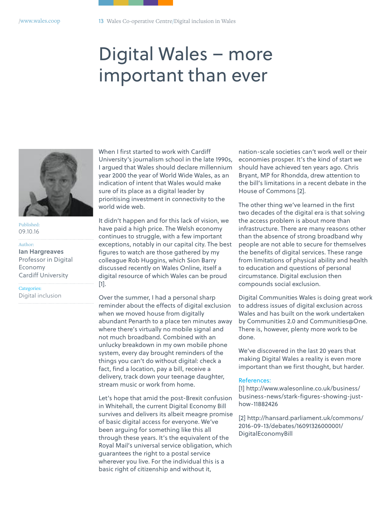# Digital Wales – more important than ever



Published: 09.10.16

Author: **Ian Hargreaves** Professor in Digital Economy Cardiff University

Categories: Digital inclusion When I first started to work with Cardiff nation-scale societies can't work well or their University's journalism school in the late 1990s, economies prosper. It's the kind of start we I argued that Wales should declare millennium should have achieved ten years ago. Chris year 2000 the year of World Wide Wales, as an Bryant, MP for Rhondda, drew attention to indication of intent that Wales would make the bill's limitations in a recent debate in the sure of its place as a digital leader by House of Commons [2]. prioritising investment in connectivity to the world wide web.<br>The other thing we've learned in the first

It didn't happen and for this lack of vision, we the access problem is about more than have paid a high price. The Welsh economy infrastructure. There are many reasons other continues to struggle, with a few important than the absence of strong broadband why exceptions, notably in our capital city. The best people are not able to secure for themselves figures to watch are those gathered by my the benefits of digital services. These range colleague Rob Huggins, which Sion Barry from limitations of physical ability and health discussed recently on Wales Online, itself a to education and questions of personal digital resource of which Wales can be proud circumstance. Digital exclusion then [1]. compounds social exclusion.

Over the summer, I had a personal sharp Digital Communities Wales is doing great work reminder about the effects of digital exclusion to address issues of digital exclusion across when we moved house from digitally Wales and has built on the work undertaken abundant Penarth to a place ten minutes away by Communities 2.0 and Communities@One. where there's virtually no mobile signal and There is, however, plenty more work to be not much broadband. Combined with an done. unlucky breakdown in my own mobile phone system, every day brought reminders of the We've discovered in the last 20 years that<br>things you can't do without digital: check a making Digital Wales a reality is even more things you can't do without digital: check a fact, find a location, pay a bill, receive a important than we first thought, but harder. delivery, track down your teenage daughter,<br>stream music or work from home. [1] http://www.walesonline.co.uk/business/

in Whitehall, the current Digital Economy Bill survives and delivers its albeit meagre promise<br>
of basic digital access for everyone. We've<br>
been arguing for something like this all<br>
through these years. It's the equivalent of the<br>
DigitalEconomyBill Royal Mail's universal service obligation, which guarantees the right to a postal service wherever you live. For the individual this is a basic right of citizenship and without it,

two decades of the digital era is that solving

Let's hope that amid the post-Brexit confusion business-news/stark-figures-showing-just-<br>in Whiteball, the current Digital Economy Bill how-11882426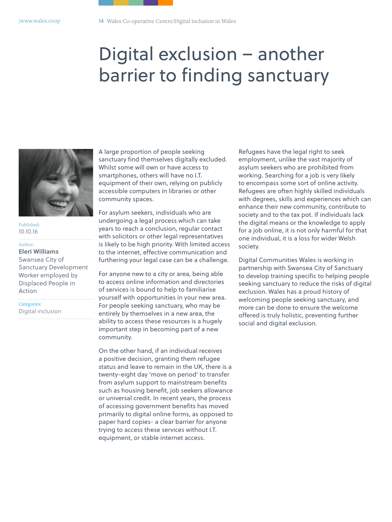# Digital exclusion – another barrier to finding sanctuary



Published: 10.10.16

Author: **Eleri Williams** Swansea City of Sanctuary Development Worker employed by Displaced People in Action

Categories:

Digital inclusion

A large proportion of people seeking Refugees have the legal right to seek sanctuary find themselves digitally excluded. employment, unlike the vast majority of Whilst some will own or have access to asylum seekers who are prohibited from smartphones, others will have no I.T. working. Searching for a job is very likely equipment of their own, relying on publicly to encompass some sort of online activity. accessible computers in libraries or other Refugees are often highly skilled individuals

is likely to be high priority. With limited access society.<br>to the internet, effective communication and furthering your legal case can be a challenge. Digital Communities Wales is working in

entirely by themselves in a new area, the offered is truly holistic, preventing further ability to access these resources is a hugely important step in becoming part of a new community.

On the other hand, if an individual receives a positive decision, granting them refugee status and leave to remain in the UK, there is a twenty-eight day 'move on period' to transfer from asylum support to mainstream benefits such as housing benefit, job seekers allowance or universal credit. In recent years, the process of accessing government benefits has moved primarily to digital online forms, as opposed to paper hard copies- a clear barrier for anyone trying to access these services without I.T. equipment, or stable internet access.

community spaces. with degrees, skills and experiences which can For asylum seekers, individuals who are<br>
undergoing a legal process which can take<br>
years to reach a conclusion, regular contact<br>
with solicitors or other legal representatives<br>
with solicitors or other legal representativ

For anyone new to a city or area, being able<br>to access online information and directories<br>of services is bound to help to familiarise<br>yourself with opportunities in your new area.<br>For people seeking sanctuary, who may be<br>f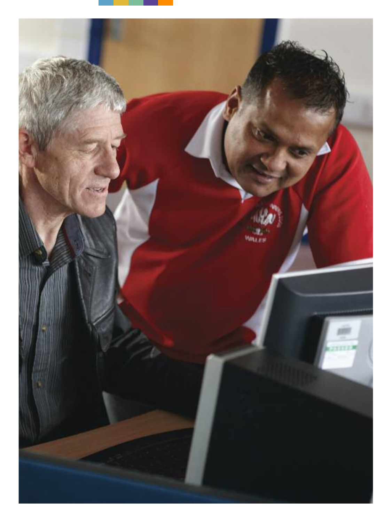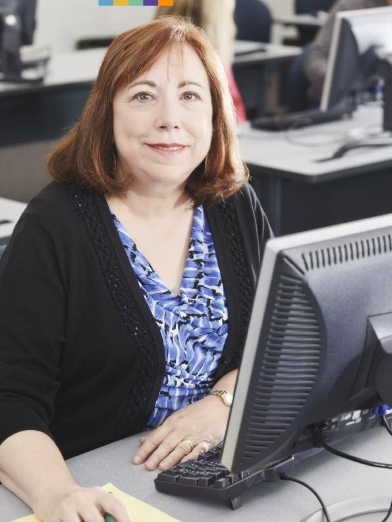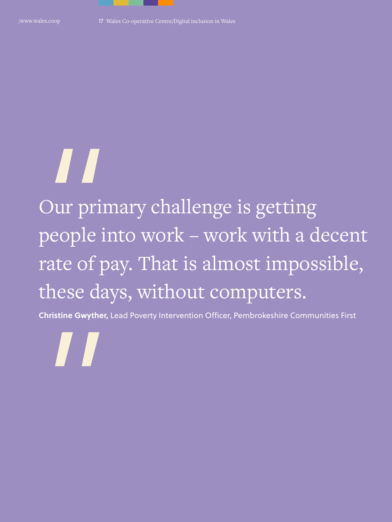# "

Our primary challenge is getting people into work – work with a decent rate of pay. That is almost impossible, these days, without computers.

**Christine Gwyther,** Lead Poverty Intervention Officer, Pembrokeshire Communities First

"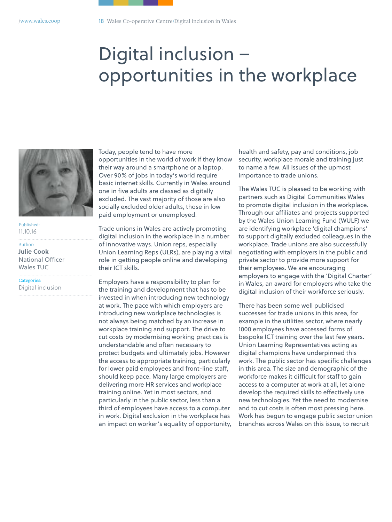# Digital inclusion – opportunities in the workplace



Published: 11.10.16

Author: **Julie Cook** National Officer Wales TUC

Categories: Digital inclusion Today, people tend to have more health and safety, pay and conditions, job opportunities in the world of work if they know security, workplace morale and training just their way around a smartphone or a laptop. to name a few. All issues of the upmost Over 90% of jobs in today's world require importance to trade unions. basic internet skills. Currently in Wales around one in five adults are classed as digitally<br>
excluded The vast majority of those are also partners such as Digital Communities Wales excluded. The vast majority of those are also partners such as Digital Communities Wales<br>cocially excluded older adults, those in low to promote digital inclusion in the workplace. socially excluded older adults, those in low paid employment or unemployed. Through our affiliates and projects supported

of innovative ways. Union reps, especially workplace. Trade unions are also successfully Union Learning Reps (ULRs), are playing a vital negotiating with employers in the public and role in getting people online and developing private sector to provide more support for their ICT skills. their employees. We are encouraging

at work. The pace with which employers are There has been some well publicised introducing new workplace technologies is successes for trade unions in this area, for not always being matched by an increase in example in the utilities sector, where nearly workplace training and support. The drive to 1000 employees have accessed forms of cut costs by modernising working practices is bespoke ICT training over the last few years. understandable and often necessary to Union Learning Representatives acting as protect budgets and ultimately jobs. However digital champions have underpinned this the access to appropriate training, particularly work. The public sector has specific challenges for lower paid employees and front-line staff, in this area. The size and demographic of the should keep pace. Many large employers are workforce makes it difficult for staff to gain delivering more HR services and workplace access to a computer at work at all, let alone training online. Yet in most sectors, and develop the required skills to effectively use particularly in the public sector, less than a new technologies. Yet the need to modernise third of employees have access to a computer and to cut costs is often most pressing here.

by the Wales Union Learning Fund (WULF) we Trade unions in Wales are actively promoting are identifying workplace 'digital champions' digital inclusion in the workplace in a number to support digitally excluded colleagues in the Employers have a responsibility to plan for<br>the training and development that has to be<br>in Wales, an award for employers who take the<br>invested in when introducing new technology<br>invested in when introducing new technology

in work. Digital exclusion in the workplace has Work has begun to engage public sector union an impact on worker's equality of opportunity, branches across Wales on this issue, to recruit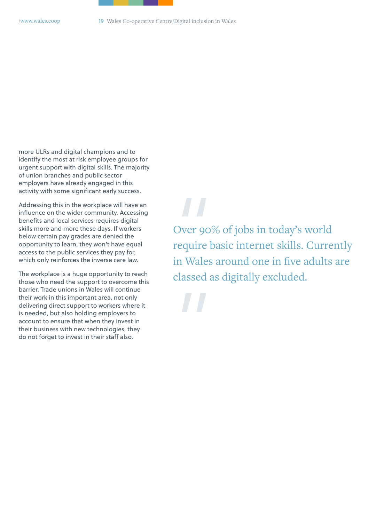more ULRs and digital champions and to identify the most at risk employee groups for urgent support with digital skills. The majority of union branches and public sector employers have already engaged in this activity with some significant early success.

Addressing this in the workplace will have an influence on the wider community. Accessing benefits and local services requires digital skills more and more these days. If workers below certain pay grades are denied the opportunity to learn, they won't have equal access to the public services they pay for, which only reinforces the inverse care law.

The workplace is a huge opportunity to reach those who need the support to overcome this barrier. Trade unions in Wales will continue their work in this important area, not only delivering direct support to workers where it is needed, but also holding employers to account to ensure that when they invest in their business with new technologies, they do not forget to invest in their staff also.

**"** 

Over 90% of jobs in today's world require basic internet skills. Currently in Wales around one in five adults are classed as digitally excluded. Over 909<br>"<br>"Compute" de la Wales<br>"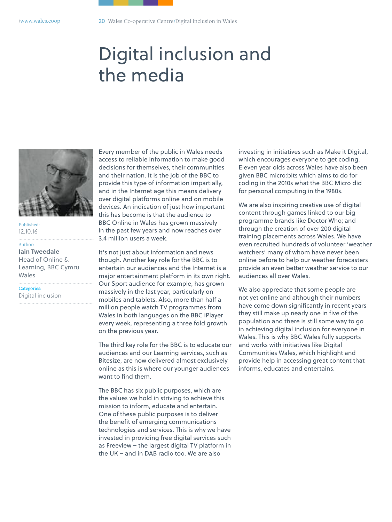# Digital inclusion and the media



Published: 12.10.16

Author: **Iain Tweedale** Head of Online & Learning, BBC Cymru Wales

Categories: Digital inclusion

Every member of the public in Wales needs investing in initiatives such as Make it Digital, access to reliable information to make good which encourages everyone to get coding.<br>
decisions for themselves, their communities Eleven year olds across Wales have also be and their nation. It is the job of the BBC to given BBC micro:bits which aims to do for provide this type of information impartially, coding in the 2010s what the BBC Micro did and in the Internet age this means delivery for personal computing in the 1980s. over digital platforms online and on mobile devices. An indication of just how important We are also inspiring creative use of digital<br>this has become is that the audience to content through games linked to our big this has become is that the audience to content through games linked to our big<br>RBC Online in Wales has grown massively programme brands like Doctor Who; and BBC Online in Wales has grown massively programme brands like Doctor Who; and in the past few years and now reaches over through the creation of over 200 digital in the past few years and now reaches over 3.4 million users a week.

though. Another key role for the BBC is to online before to help our weather forecasters entertain our audiences and the Internet is a provide an even better weather service to our major entertainment platform in its own right. audiences all over Wales. Our Sport audience for example, has grown massively in the last year, particularly on We also appreciate that some people are<br>mobiles and tablets. Also, more than balf a not yet online and although their numbers mobiles and tablets. Also, more than half a not yet online and although their numbers<br>million people watch IV programmes from have come down significantly in recent years million people watch TV programmes from have come down significantly in recent year<br>Wales in both languages on the BBC iPlayer they still make up nearly one in five of the Wales in both languages on the BBC iPlayer they still make up nearly one in five of the<br>every week, representing a three fold growth population and there is still some way to go every week, representing a three fold growth on the previous year.  $\frac{1}{2}$  and  $\frac{1}{2}$  in achieving digital inclusion for everyone in

The third key role for the BBC is to educate our and works with initiatives like Digital audiences and our Learning services, such as Communities Wales, which highlight and Bitesize, are now delivered almost exclusively provide help in accessing great content that online as this is where our younger audiences informs, educates and entertains. want to find them.

The BBC has six public purposes, which are the values we hold in striving to achieve this mission to inform, educate and entertain. One of these public purposes is to deliver the benefit of emerging communications technologies and services. This is why we have invested in providing free digital services such as Freeview – the largest digital TV platform in the UK – and in DAB radio too. We are also

Eleven year olds across Wales have also been

even recruited hundreds of volunteer 'weather It's not just about information and news watchers' many of whom have never been

Wales. This is why BBC Wales fully supports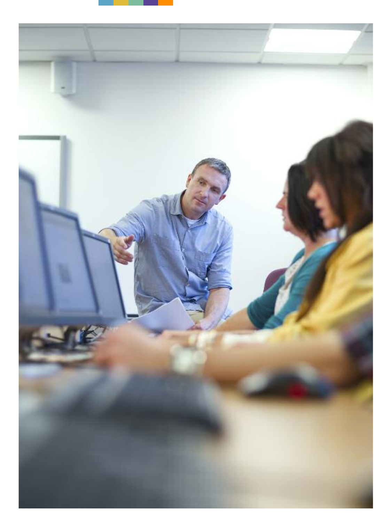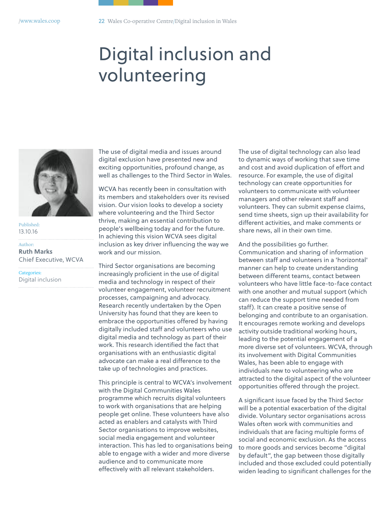# Digital inclusion and volunteering



Published: 13.10.16

### Author: **Ruth Marks** Chief Executive, WCVA

Categories: Digital inclusion The use of digital media and issues around The use of digital technology can also lead digital exclusion have presented new and to dynamic ways of working that save time exciting opportunities, profound change, as and cost and avoid duplication of effort and well as challenges to the Third Sector in Wales. resource. For example, the use of digital

people's wellbeing today and for the future. share news, all in their own time. In achieving this vision WCVA sees digital inclusion as key driver influencing the way we And the possibilities go further. work and our mission. The state of the Communication and sharing of information

Third Sector organisations are becoming<br>increasingly proficient in the use of digital<br>media and technology in respect of their<br>when different teams, contact between<br>integral between different teams, contact between<br>media a

programme which recruits digital volunteers and significant issue faced by the Third Sector<br>to work with organisations that are helping will be a potential exacerbation of the digital<br>people get online. These volunteers ha Sector organisations to improve websites,<br>social media engagement and volunteer<br>interaction. This has led to organisations being to more goods and services become "digital"

technology can create opportunities for<br>WCVA has recently been in consultation with volunteers to communicate with volunteer<br>its members and stakeholders over its revised managers and other relevant staff and Its members and stakeholders over its revised<br>vision. Our vision looks to develop a society<br>where volunteering and the Third Sector<br>thrive, making an essential contribution to<br>different activities, and make comments or

between staff and volunteers in a 'horizontal' media and technology in respect of their<br>volunteer engagement, volunteer recruitment<br>with one another and mutual support (which volunteer engagement, volunteer recruitment<br>processes, campaigning and advocacy.<br>Research recently undertaken by the Open<br>Research recently undertaken by the Open<br>University has found that they are keen to<br>belonging and co This principle is central to WCVA's involvement<br>with the Digital Communities Wales<br>opportunities offered through the project.

interaction. This has led to organisations being<br>able to engage with a wider and more diverse<br>able to engage with a wider and more diverse<br>able to engage with a wider and more diverse<br>by default", the gap between those dig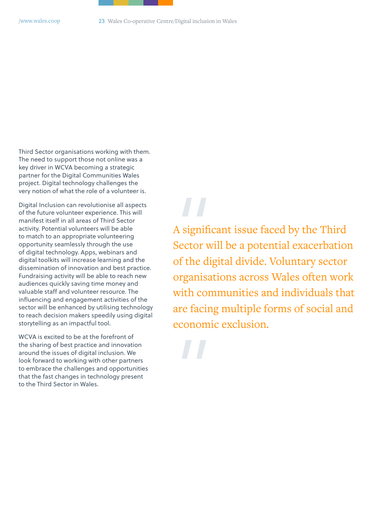Third Sector organisations working with them. The need to support those not online was a key driver in WCVA becoming a strategic partner for the Digital Communities Wales project. Digital technology challenges the very notion of what the role of a volunteer is.

Digital Inclusion can revolutionise all aspects of the future volunteer experience. This will manifest itself in all areas of Third Sector activity. Potential volunteers will be able to match to an appropriate volunteering opportunity seamlessly through the use of digital technology. Apps, webinars and digital toolkits will increase learning and the dissemination of innovation and best practice. Fundraising activity will be able to reach new audiences quickly saving time money and valuable staff and volunteer resource. The influencing and engagement activities of the sector will be enhanced by utilising technology to reach decision makers speedily using digital storytelling as an impactful tool.

WCVA is excited to be at the forefront of the sharing of best practice and innovation around the issues of digital inclusion. We look forward to working with other partners to embrace the challenges and opportunities that the fast changes in technology present to the Third Sector in Wales.

**"** 

A significant issue faced by the Third Sector will be a potential exacerbation of the digital divide. Voluntary sector organisations across Wales often work with communities and individuals that are facing multiple forms of social and economic exclusion. A signific<br>Sector w<br>of the di<sub>{</sub>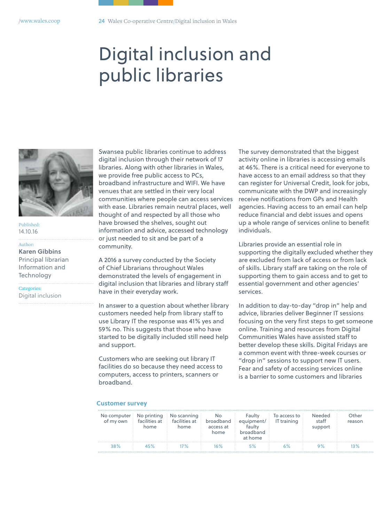# Digital inclusion and public libraries



Published: 14.10.16

### Author: **Karen Gibbins** Principal librarian Information and **Technology**

Categories: Digital inclusion

Swansea public libraries continue to address The survey demonstrated that the biggest digital inclusion through their network of 17 activity online in libraries is accessing emails libraries. Along with other libraries in Wales, at 46%. There is a critical need for everyone to we provide free public access to PCs, have access to an email address so that they broadband infrastructure and WIFI. We have can register for Universal Credit, look for jobs, venues that are settled in their very local communicate with the DWP and increasingly communities where people can access services receive notifications from GPs and Health with ease. Libraries remain neutral places, well agencies. Having access to an email can help thought of and respected by all those who reduce financial and debt issues and opens have browsed the shelves, sought out up a whole range of services online to benefit information and advice, accessed technology individuals. or just needed to sit and be part of a community. Libraries provide an essential role in

of Chief Librarians throughout Wales of skills. Library staff are taking on the role of demonstrated the levels of engagement in supporting them to gain access and to get to digital inclusion that libraries and library staff essential government and other agencies' have in their everyday work. Services.

customers needed help from library staff to advice, libraries deliver Beginner IT sessions 59% no. This suggests that those who have online. Training and resources from Digital started to be digitally included still need help Communities Wales have assisted staff to and support. better develop these skills. Digital Fridays are

broadband.

supporting the digitally excluded whether the y A 2016 a survey conducted by the Society are excluded from lack of access or from lack

In answer to a question about whether library In addition to day-to-day "drop in" help and use Library IT the response was 41% yes and hocusing on the very first steps to get someone a common event with three-week courses or Customers who are seeking out library IT<br>facilities do so because they need access to<br>computers, access to printers, scanners or<br>is a barrier to some customers and libraries is a barrier to some customers and libraries

### **Customer survey**

| of my own | home | No computer $\frac{1}{2}$ No printing $\frac{1}{2}$ No scanning $\frac{1}{2}$<br>facilities at facilities at broadband equipment/ IT training<br>home | <b>No</b><br>access at<br>home | Faulty<br>faulty<br>broadband<br>at home | To access to | <b>Needed</b><br>staff<br>support | Other<br>reason |
|-----------|------|-------------------------------------------------------------------------------------------------------------------------------------------------------|--------------------------------|------------------------------------------|--------------|-----------------------------------|-----------------|
| 38%       | 45%  | 17%                                                                                                                                                   | 16%                            | 5%                                       | 6%           | 9%                                | 13%             |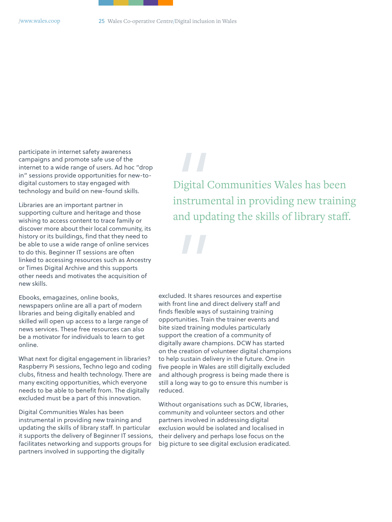participate in internet safety awareness campaigns and promote safe use of the internet to a wide range of users. Ad hoc "drop in" sessions provide opportunities for new-todigital customers to stay engaged with technology and build on new-found skills.

Libraries are an important partner in supporting culture and heritage and those wishing to access content to trace family or discover more about their local community, its history or its buildings, find that they need to be able to use a wide range of online services to do this. Beginner IT sessions are often linked to accessing resources such as Ancestry or Times Digital Archive and this supports other needs and motivates the acquisition of new skills.

Ebooks, emagazines, online books, newspapers online are all a part of modern libraries and being digitally enabled and skilled will open up access to a large range of news services. These free resources can also be a motivator for individuals to learn to get online.

What next for digital engagement in libraries? Raspberry Pi sessions, Techno lego and coding clubs, fitness and health technology. There ar many exciting opportunities, which everyone needs to be able to benefit from. The digitally excluded must be a part of this innovation.

Digital Communities Wales has been instrumental in providing new training and updating the skills of library staff. In particula it supports the delivery of Beginner IT sessions, facilitates networking and supports groups fo partners involved in supporting the digitally

Digital Communities Wales has been instrumental in providing new training and updating the skills of library staff. |<br>|<br>Digital C<br>|<br>|nstrume<br>|<br>|and upda

excluded. It shares resources and expertise with front line and direct delivery staff and ded. It shares finds flexible ways of sustaining training opportunities. Train the trainer events and bite sized training modules particularly support the creation of a community of digitally aware champions. DCW has started on the creation of volunteer digital champions to help sustain delivery in the future. One in five people in Wales are still digitally excluded and although progress is being made there is still a long way to go to ensure this number is reduced.

Without organisations such as DCW, libraries, community and volunteer sectors and other partners involved in addressing digital exclusion would be isolated and localised in their delivery and perhaps lose focus on the big picture to see digital exclusion eradicated.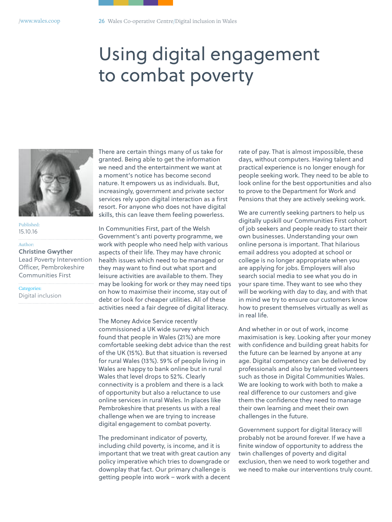# Using digital engagement to combat poverty



Published: 15.10.16

### Author: **Christine Gwyther** Lead Poverty Intervention Officer, Pembrokeshire Communities First

Categories: Digital inclusion There are certain things many of us take for rate of pay. That is almost impossible, these granted. Being able to get the information days, without computers. Having talent and we need and the entertainment we want at practical experience is no longer enough for increasingly, government and private sector to prove to the Department for Work and services rely upon digital interaction as a first Pensions that they are actively seeking work. resort. For anyone who does not have digital skills, this can leave them feeling powerless. We are currently seeking partners to help us

Government's anti poverty programme, we own businesses. Understanding your own work with people who need help with various online persona is important. That hilarious aspects of their life. They may have chronic email address you adopted at school or health issues which need to be managed or college is no longer appropriate when you they may want to find out what sport and are applying for jobs. Employers will also leisure activities are available to them. They search social media to see what you do in may be looking for work or they may need tips your spare time. They want to see who they on how to maximise their income, stay out of will be working with day to day, and with that debt or look for cheaper utilities. All of these in mind we try to ensure our customers know activities need a fair degree of digital literacy. how to present themselves virtually as well as

The Money Advice Service recently commissioned a UK wide survey which And whether in or out of work, income comfortable seeking debt advice than the rest with confidence and building great habits for of the UK (15%). But that situation is reversed the future can be learned by anyone at any for rural Wales (13%). 59% of people living in age. Digital competency can be delivered by Wales are happy to bank online but in rural professionals and also by talented volunteers Wales that level drops to 52%. Clearly such as those in Digital Communities Wales. connectivity is a problem and there is a lack We are looking to work with both to make a of opportunity but also a reluctance to use real difference to our customers and give online services in rural Wales. In places like them the confidence they need to manage Pembrokeshire that presents us with a real their own learning and meet their own challenge when we are trying to increase challenges in the future. digital engagement to combat poverty. Government support for digital literacy will

including child poverty, is income, and it is finite window of opportunity to address the important that we treat with great caution any twin challenges of poverty and digital policy imperative which tries to downgrade or exclusion, then we need to work together and downplay that fact. Our primary challenge is we need to make our interventions truly count . getting people into work – work with a decent

a moment's notice has become second people seeking work. They need to be able to nature. It empowers us as individuals. But, look online for the best opportunities and also

digitally upskill our Communities First cohort In Communities First, part of the Welsh of job seekers and people ready to start their in real life.

found that people in Wales (21%) are more maximisation is key. Looking after your money

The predominant indicator of poverty, probably not be around forever. If we have a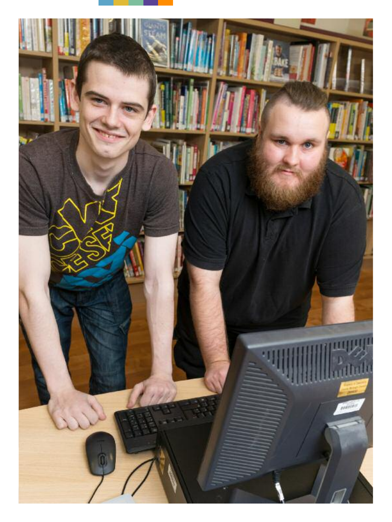